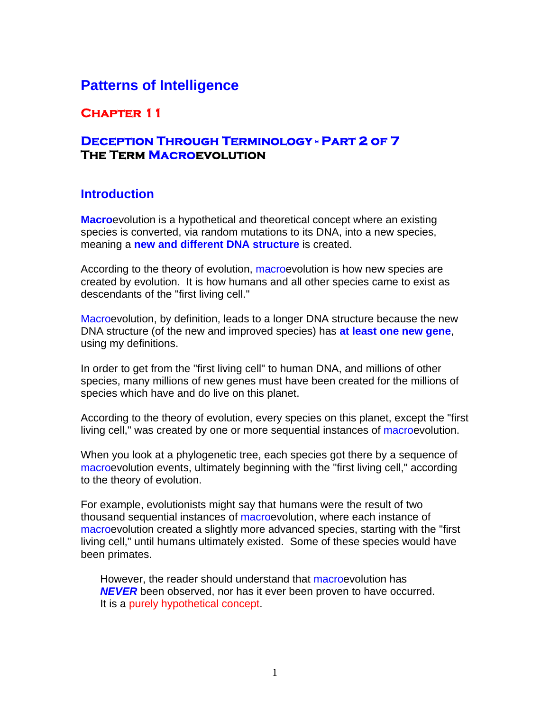# **Patterns of Intelligence**

### **Chapter 11**

### **Deception Through Terminology - Part 2 of 7 The Term Macroevolution**

#### **Introduction**

**Macro**evolution is a hypothetical and theoretical concept where an existing species is converted, via random mutations to its DNA, into a new species, meaning a **new and different DNA structure** is created.

According to the theory of evolution, macroevolution is how new species are created by evolution. It is how humans and all other species came to exist as descendants of the "first living cell."

Macroevolution, by definition, leads to a longer DNA structure because the new DNA structure (of the new and improved species) has **at least one new gene**, using my definitions.

In order to get from the "first living cell" to human DNA, and millions of other species, many millions of new genes must have been created for the millions of species which have and do live on this planet.

According to the theory of evolution, every species on this planet, except the "first living cell," was created by one or more sequential instances of macroevolution.

When you look at a phylogenetic tree, each species got there by a sequence of macroevolution events, ultimately beginning with the "first living cell," according to the theory of evolution.

For example, evolutionists might say that humans were the result of two thousand sequential instances of macroevolution, where each instance of macroevolution created a slightly more advanced species, starting with the "first living cell," until humans ultimately existed. Some of these species would have been primates.

However, the reader should understand that macroevolution has *NEVER* been observed, nor has it ever been proven to have occurred. It is a purely hypothetical concept.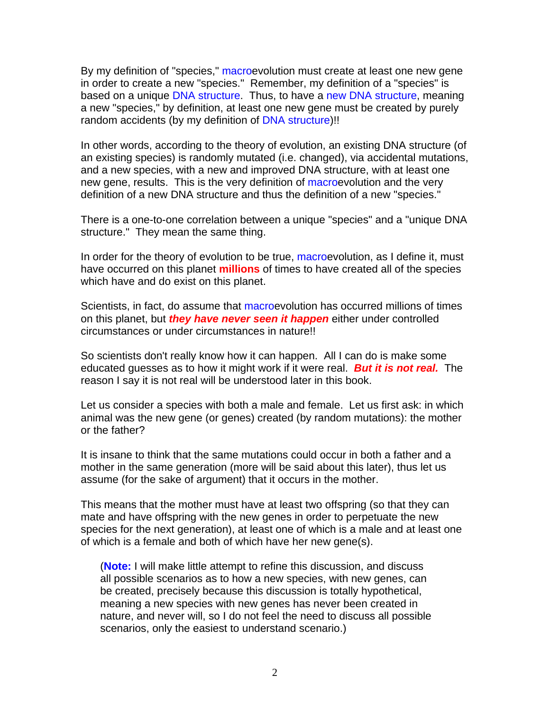By my definition of "species," macroevolution must create at least one new gene in order to create a new "species." Remember, my definition of a "species" is based on a unique DNA structure. Thus, to have a new DNA structure, meaning a new "species," by definition, at least one new gene must be created by purely random accidents (by my definition of DNA structure)!!

In other words, according to the theory of evolution, an existing DNA structure (of an existing species) is randomly mutated (i.e. changed), via accidental mutations, and a new species, with a new and improved DNA structure, with at least one new gene, results. This is the very definition of macroevolution and the very definition of a new DNA structure and thus the definition of a new "species."

There is a one-to-one correlation between a unique "species" and a "unique DNA structure." They mean the same thing.

In order for the theory of evolution to be true, macroevolution, as I define it, must have occurred on this planet **millions** of times to have created all of the species which have and do exist on this planet.

Scientists, in fact, do assume that macroevolution has occurred millions of times on this planet, but *they have never seen it happen* either under controlled circumstances or under circumstances in nature!!

So scientists don't really know how it can happen. All I can do is make some educated guesses as to how it might work if it were real. *But it is not real.* The reason I say it is not real will be understood later in this book.

Let us consider a species with both a male and female. Let us first ask: in which animal was the new gene (or genes) created (by random mutations): the mother or the father?

It is insane to think that the same mutations could occur in both a father and a mother in the same generation (more will be said about this later), thus let us assume (for the sake of argument) that it occurs in the mother.

This means that the mother must have at least two offspring (so that they can mate and have offspring with the new genes in order to perpetuate the new species for the next generation), at least one of which is a male and at least one of which is a female and both of which have her new gene(s).

(**Note:** I will make little attempt to refine this discussion, and discuss all possible scenarios as to how a new species, with new genes, can be created, precisely because this discussion is totally hypothetical, meaning a new species with new genes has never been created in nature, and never will, so I do not feel the need to discuss all possible scenarios, only the easiest to understand scenario.)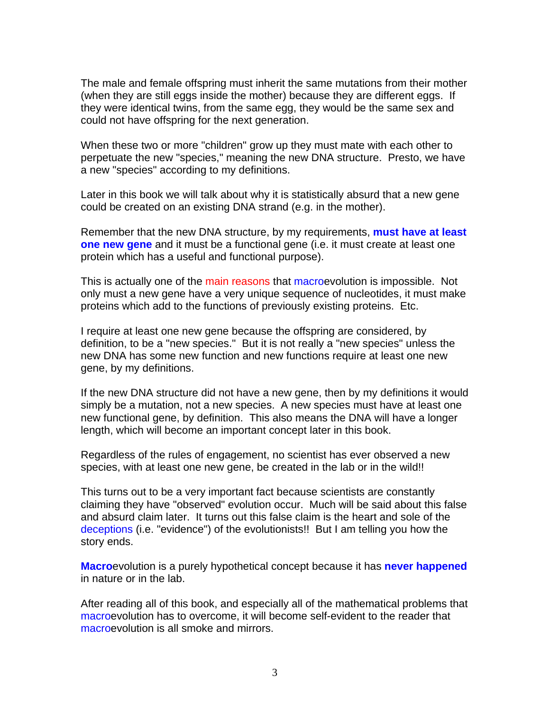The male and female offspring must inherit the same mutations from their mother (when they are still eggs inside the mother) because they are different eggs. If they were identical twins, from the same egg, they would be the same sex and could not have offspring for the next generation.

When these two or more "children" grow up they must mate with each other to perpetuate the new "species," meaning the new DNA structure. Presto, we have a new "species" according to my definitions.

Later in this book we will talk about why it is statistically absurd that a new gene could be created on an existing DNA strand (e.g. in the mother).

Remember that the new DNA structure, by my requirements, **must have at least one new gene** and it must be a functional gene (i.e. it must create at least one protein which has a useful and functional purpose).

This is actually one of the main reasons that macroevolution is impossible. Not only must a new gene have a very unique sequence of nucleotides, it must make proteins which add to the functions of previously existing proteins. Etc.

I require at least one new gene because the offspring are considered, by definition, to be a "new species." But it is not really a "new species" unless the new DNA has some new function and new functions require at least one new gene, by my definitions.

If the new DNA structure did not have a new gene, then by my definitions it would simply be a mutation, not a new species. A new species must have at least one new functional gene, by definition. This also means the DNA will have a longer length, which will become an important concept later in this book.

Regardless of the rules of engagement, no scientist has ever observed a new species, with at least one new gene, be created in the lab or in the wild!!

This turns out to be a very important fact because scientists are constantly claiming they have "observed" evolution occur. Much will be said about this false and absurd claim later. It turns out this false claim is the heart and sole of the deceptions (i.e. "evidence") of the evolutionists!! But I am telling you how the story ends.

**Macro**evolution is a purely hypothetical concept because it has **never happened** in nature or in the lab.

After reading all of this book, and especially all of the mathematical problems that macroevolution has to overcome, it will become self-evident to the reader that macroevolution is all smoke and mirrors.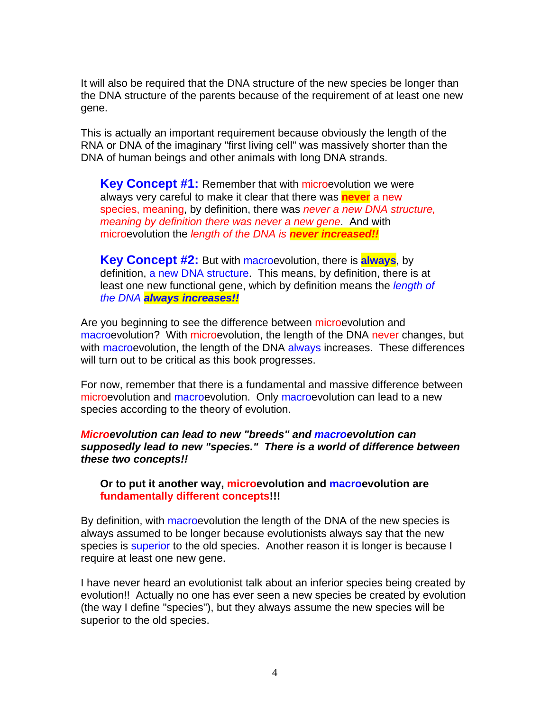It will also be required that the DNA structure of the new species be longer than the DNA structure of the parents because of the requirement of at least one new gene.

This is actually an important requirement because obviously the length of the RNA or DNA of the imaginary "first living cell" was massively shorter than the DNA of human beings and other animals with long DNA strands.

**Key Concept #1:** Remember that with microevolution we were always very careful to make it clear that there was **never** a new species, meaning, by definition, there was *never a new DNA structure, meaning by definition there was never a new gene*. And with microevolution the *length of the DNA is never increased!!*

**Key Concept #2:** But with macroevolution, there is **always**, by definition, a new DNA structure. This means, by definition, there is at least one new functional gene, which by definition means the *length of the DNA always increases!!*

Are you beginning to see the difference between microevolution and macroevolution? With microevolution, the length of the DNA never changes, but with macroevolution, the length of the DNA always increases. These differences will turn out to be critical as this book progresses.

For now, remember that there is a fundamental and massive difference between microevolution and macroevolution. Only macroevolution can lead to a new species according to the theory of evolution.

*Microevolution can lead to new "breeds" and macroevolution can supposedly lead to new "species." There is a world of difference between these two concepts!!* 

#### **Or to put it another way, microevolution and macroevolution are fundamentally different concepts!!!**

By definition, with macroevolution the length of the DNA of the new species is always assumed to be longer because evolutionists always say that the new species is superior to the old species. Another reason it is longer is because I require at least one new gene.

I have never heard an evolutionist talk about an inferior species being created by evolution!! Actually no one has ever seen a new species be created by evolution (the way I define "species"), but they always assume the new species will be superior to the old species.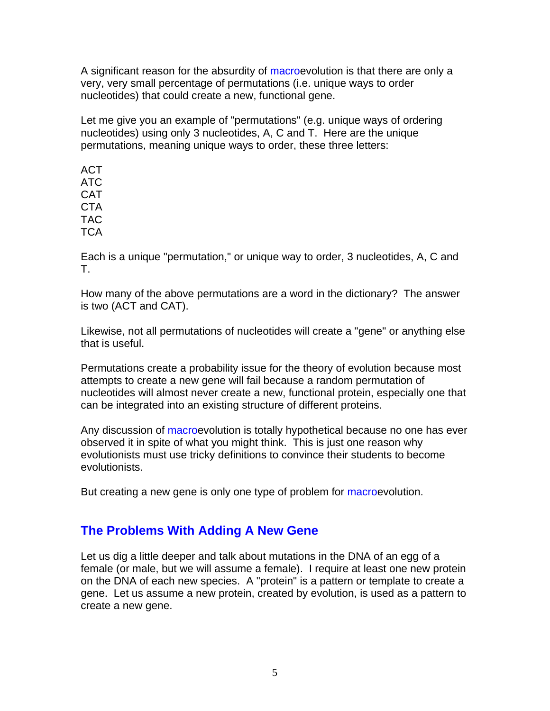A significant reason for the absurdity of macroevolution is that there are only a very, very small percentage of permutations (i.e. unique ways to order nucleotides) that could create a new, functional gene.

Let me give you an example of "permutations" (e.g. unique ways of ordering nucleotides) using only 3 nucleotides, A, C and T. Here are the unique permutations, meaning unique ways to order, these three letters:

ACT ATC **CAT CTA** TAC **TCA** 

Each is a unique "permutation," or unique way to order, 3 nucleotides, A, C and T.

How many of the above permutations are a word in the dictionary? The answer is two (ACT and CAT).

Likewise, not all permutations of nucleotides will create a "gene" or anything else that is useful.

Permutations create a probability issue for the theory of evolution because most attempts to create a new gene will fail because a random permutation of nucleotides will almost never create a new, functional protein, especially one that can be integrated into an existing structure of different proteins.

Any discussion of macroevolution is totally hypothetical because no one has ever observed it in spite of what you might think. This is just one reason why evolutionists must use tricky definitions to convince their students to become evolutionists.

But creating a new gene is only one type of problem for macroevolution.

### **The Problems With Adding A New Gene**

Let us dig a little deeper and talk about mutations in the DNA of an egg of a female (or male, but we will assume a female). I require at least one new protein on the DNA of each new species. A "protein" is a pattern or template to create a gene. Let us assume a new protein, created by evolution, is used as a pattern to create a new gene.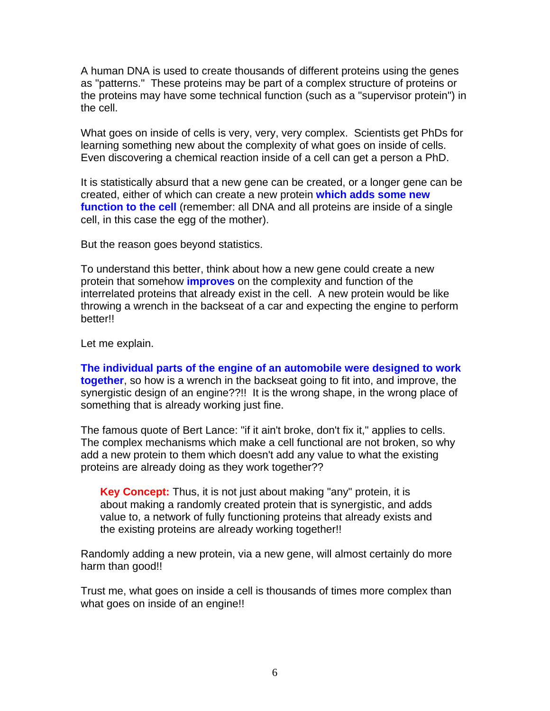A human DNA is used to create thousands of different proteins using the genes as "patterns." These proteins may be part of a complex structure of proteins or the proteins may have some technical function (such as a "supervisor protein") in the cell.

What goes on inside of cells is very, very, very complex. Scientists get PhDs for learning something new about the complexity of what goes on inside of cells. Even discovering a chemical reaction inside of a cell can get a person a PhD.

It is statistically absurd that a new gene can be created, or a longer gene can be created, either of which can create a new protein **which adds some new function to the cell** (remember: all DNA and all proteins are inside of a single cell, in this case the egg of the mother).

But the reason goes beyond statistics.

To understand this better, think about how a new gene could create a new protein that somehow **improves** on the complexity and function of the interrelated proteins that already exist in the cell. A new protein would be like throwing a wrench in the backseat of a car and expecting the engine to perform better!!

Let me explain.

**The individual parts of the engine of an automobile were designed to work together**, so how is a wrench in the backseat going to fit into, and improve, the synergistic design of an engine??!! It is the wrong shape, in the wrong place of something that is already working just fine.

The famous quote of Bert Lance: "if it ain't broke, don't fix it," applies to cells. The complex mechanisms which make a cell functional are not broken, so why add a new protein to them which doesn't add any value to what the existing proteins are already doing as they work together??

**Key Concept:** Thus, it is not just about making "any" protein, it is about making a randomly created protein that is synergistic, and adds value to, a network of fully functioning proteins that already exists and the existing proteins are already working together!!

Randomly adding a new protein, via a new gene, will almost certainly do more harm than good!!

Trust me, what goes on inside a cell is thousands of times more complex than what goes on inside of an engine!!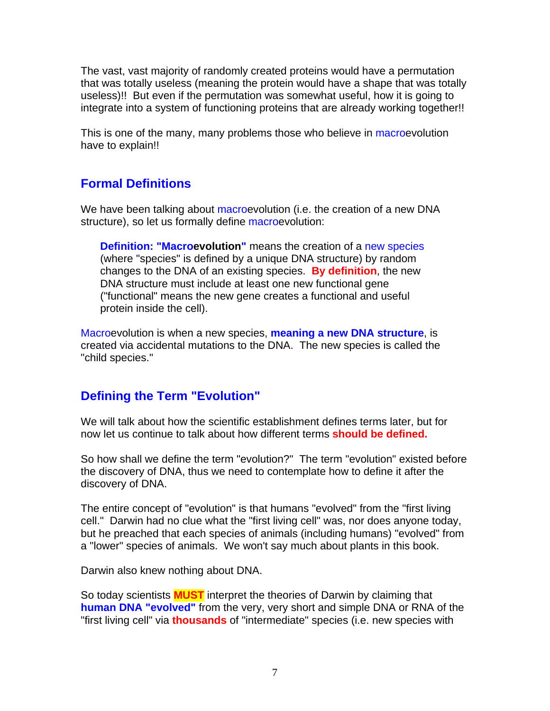The vast, vast majority of randomly created proteins would have a permutation that was totally useless (meaning the protein would have a shape that was totally useless)!! But even if the permutation was somewhat useful, how it is going to integrate into a system of functioning proteins that are already working together!!

This is one of the many, many problems those who believe in macroevolution have to explain!!

## **Formal Definitions**

We have been talking about macroevolution (i.e. the creation of a new DNA structure), so let us formally define macroevolution:

**Definition: "Macroevolution"** means the creation of a new species (where "species" is defined by a unique DNA structure) by random changes to the DNA of an existing species. **By definition**, the new DNA structure must include at least one new functional gene ("functional" means the new gene creates a functional and useful protein inside the cell).

Macroevolution is when a new species, **meaning a new DNA structure**, is created via accidental mutations to the DNA. The new species is called the "child species."

### **Defining the Term "Evolution"**

We will talk about how the scientific establishment defines terms later, but for now let us continue to talk about how different terms **should be defined.**

So how shall we define the term "evolution?" The term "evolution" existed before the discovery of DNA, thus we need to contemplate how to define it after the discovery of DNA.

The entire concept of "evolution" is that humans "evolved" from the "first living cell." Darwin had no clue what the "first living cell" was, nor does anyone today, but he preached that each species of animals (including humans) "evolved" from a "lower" species of animals. We won't say much about plants in this book.

Darwin also knew nothing about DNA.

So today scientists **MUST** interpret the theories of Darwin by claiming that **human DNA "evolved"** from the very, very short and simple DNA or RNA of the "first living cell" via **thousands** of "intermediate" species (i.e. new species with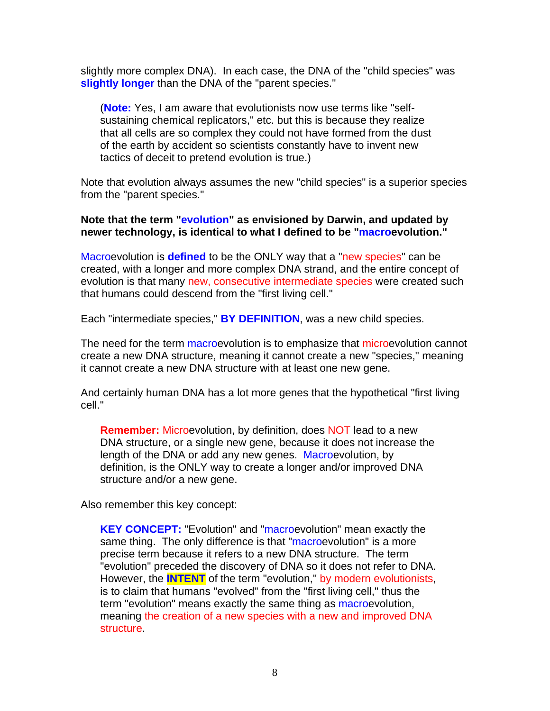slightly more complex DNA). In each case, the DNA of the "child species" was **slightly longer** than the DNA of the "parent species."

(**Note:** Yes, I am aware that evolutionists now use terms like "selfsustaining chemical replicators," etc. but this is because they realize that all cells are so complex they could not have formed from the dust of the earth by accident so scientists constantly have to invent new tactics of deceit to pretend evolution is true.)

Note that evolution always assumes the new "child species" is a superior species from the "parent species."

#### **Note that the term "evolution" as envisioned by Darwin, and updated by newer technology, is identical to what I defined to be "macroevolution."**

Macroevolution is **defined** to be the ONLY way that a "new species" can be created, with a longer and more complex DNA strand, and the entire concept of evolution is that many new, consecutive intermediate species were created such that humans could descend from the "first living cell."

Each "intermediate species," **BY DEFINITION**, was a new child species.

The need for the term macroevolution is to emphasize that microevolution cannot create a new DNA structure, meaning it cannot create a new "species," meaning it cannot create a new DNA structure with at least one new gene.

And certainly human DNA has a lot more genes that the hypothetical "first living cell."

**Remember:** Microevolution, by definition, does NOT lead to a new DNA structure, or a single new gene, because it does not increase the length of the DNA or add any new genes. Macroevolution, by definition, is the ONLY way to create a longer and/or improved DNA structure and/or a new gene.

Also remember this key concept:

**KEY CONCEPT:** "Evolution" and "macroevolution" mean exactly the same thing. The only difference is that "macroevolution" is a more precise term because it refers to a new DNA structure. The term "evolution" preceded the discovery of DNA so it does not refer to DNA. However, the **INTENT** of the term "evolution," by modern evolutionists, is to claim that humans "evolved" from the "first living cell," thus the term "evolution" means exactly the same thing as macroevolution, meaning the creation of a new species with a new and improved DNA structure.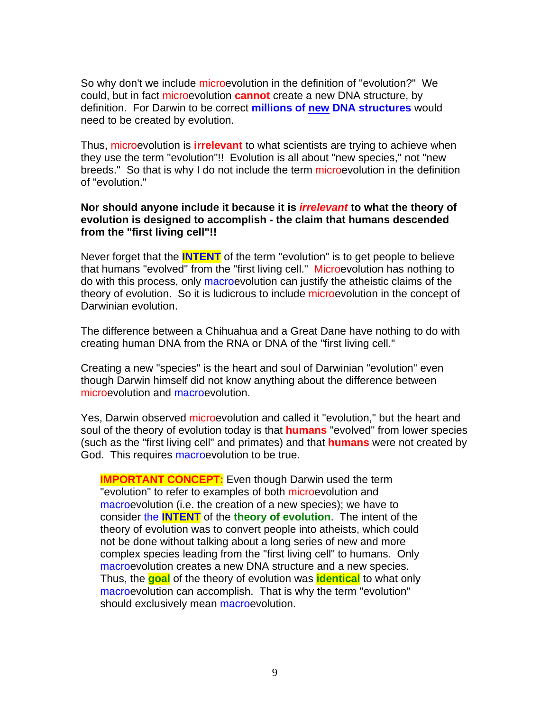So why don't we include microevolution in the definition of "evolution?" We could, but in fact microevolution **cannot** create a new DNA structure, by definition. For Darwin to be correct **millions of new DNA structures** would need to be created by evolution.

Thus, microevolution is **irrelevant** to what scientists are trying to achieve when they use the term "evolution"!! Evolution is all about "new species," not "new breeds." So that is why I do not include the term microevolution in the definition of "evolution."

#### **Nor should anyone include it because it is** *irrelevant* **to what the theory of evolution is designed to accomplish - the claim that humans descended from the "first living cell"!!**

Never forget that the **INTENT** of the term "evolution" is to get people to believe that humans "evolved" from the "first living cell." Microevolution has nothing to do with this process, only macroevolution can justify the atheistic claims of the theory of evolution. So it is ludicrous to include microevolution in the concept of Darwinian evolution.

The difference between a Chihuahua and a Great Dane have nothing to do with creating human DNA from the RNA or DNA of the "first living cell."

Creating a new "species" is the heart and soul of Darwinian "evolution" even though Darwin himself did not know anything about the difference between microevolution and macroevolution.

Yes, Darwin observed microevolution and called it "evolution," but the heart and soul of the theory of evolution today is that **humans** "evolved" from lower species (such as the "first living cell" and primates) and that **humans** were not created by God. This requires macroevolution to be true.

**IMPORTANT CONCEPT:** Even though Darwin used the term "evolution" to refer to examples of both microevolution and macroevolution (i.e. the creation of a new species); we have to consider the **INTENT** of the **theory of evolution**. The intent of the theory of evolution was to convert people into atheists, which could not be done without talking about a long series of new and more complex species leading from the "first living cell" to humans. Only macroevolution creates a new DNA structure and a new species. Thus, the **goal** of the theory of evolution was **identical** to what only macroevolution can accomplish. That is why the term "evolution" should exclusively mean macroevolution.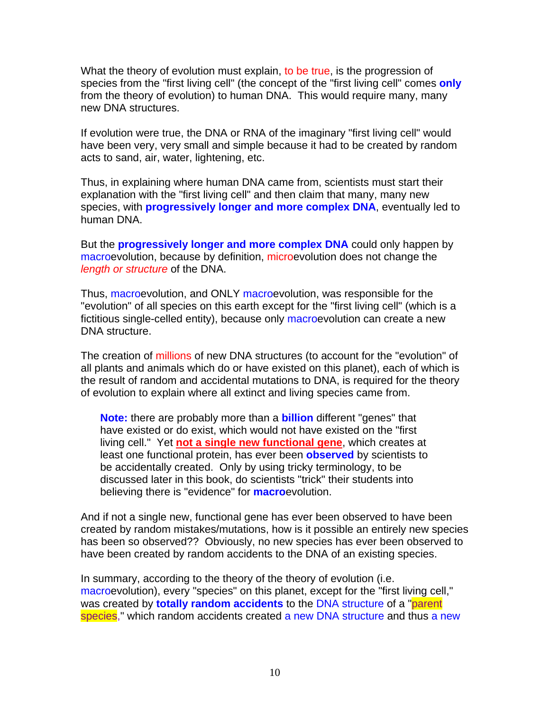What the theory of evolution must explain, to be true, is the progression of species from the "first living cell" (the concept of the "first living cell" comes **only** from the theory of evolution) to human DNA. This would require many, many new DNA structures.

If evolution were true, the DNA or RNA of the imaginary "first living cell" would have been very, very small and simple because it had to be created by random acts to sand, air, water, lightening, etc.

Thus, in explaining where human DNA came from, scientists must start their explanation with the "first living cell" and then claim that many, many new species, with **progressively longer and more complex DNA**, eventually led to human DNA.

But the **progressively longer and more complex DNA** could only happen by macroevolution, because by definition, microevolution does not change the *length or structure* of the DNA.

Thus, macroevolution, and ONLY macroevolution, was responsible for the "evolution" of all species on this earth except for the "first living cell" (which is a fictitious single-celled entity), because only macroevolution can create a new DNA structure.

The creation of millions of new DNA structures (to account for the "evolution" of all plants and animals which do or have existed on this planet), each of which is the result of random and accidental mutations to DNA, is required for the theory of evolution to explain where all extinct and living species came from.

**Note:** there are probably more than a **billion** different "genes" that have existed or do exist, which would not have existed on the "first living cell." Yet **not a single new functional gene**, which creates at least one functional protein, has ever been **observed** by scientists to be accidentally created. Only by using tricky terminology, to be discussed later in this book, do scientists "trick" their students into believing there is "evidence" for **macro**evolution.

And if not a single new, functional gene has ever been observed to have been created by random mistakes/mutations, how is it possible an entirely new species has been so observed?? Obviously, no new species has ever been observed to have been created by random accidents to the DNA of an existing species.

In summary, according to the theory of the theory of evolution (i.e. macroevolution), every "species" on this planet, except for the "first living cell," was created by **totally random accidents** to the DNA structure of a "parent species," which random accidents created a new DNA structure and thus a new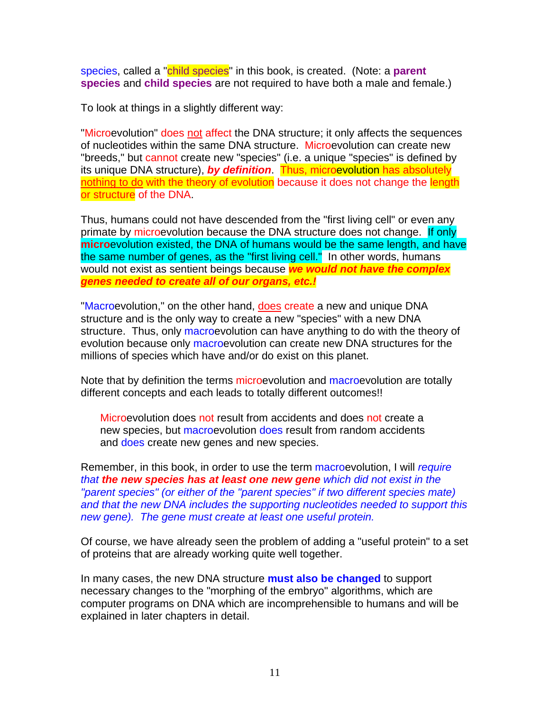species, called a "child species" in this book, is created. (Note: a **parent species** and **child species** are not required to have both a male and female.)

To look at things in a slightly different way:

"Microevolution" does not affect the DNA structure; it only affects the sequences of nucleotides within the same DNA structure. Microevolution can create new "breeds," but cannot create new "species" (i.e. a unique "species" is defined by its unique DNA structure), *by definition*. Thus, microevolution has absolutely nothing to do with the theory of evolution because it does not change the length or structure of the DNA.

Thus, humans could not have descended from the "first living cell" or even any primate by microevolution because the DNA structure does not change. If only **micro**evolution existed, the DNA of humans would be the same length, and have the same number of genes, as the "first living cell." In other words, humans would not exist as sentient beings because *we would not have the complex genes needed to create all of our organs, etc.!*

"Macroevolution," on the other hand, does create a new and unique DNA structure and is the only way to create a new "species" with a new DNA structure. Thus, only macroevolution can have anything to do with the theory of evolution because only macroevolution can create new DNA structures for the millions of species which have and/or do exist on this planet.

Note that by definition the terms microevolution and macroevolution are totally different concepts and each leads to totally different outcomes!!

Microevolution does not result from accidents and does not create a new species, but macroevolution does result from random accidents and does create new genes and new species.

Remember, in this book, in order to use the term macroevolution, I will *require that the new species has at least one new gene which did not exist in the "parent species" (or either of the "parent species" if two different species mate) and that the new DNA includes the supporting nucleotides needed to support this new gene). The gene must create at least one useful protein.*

Of course, we have already seen the problem of adding a "useful protein" to a set of proteins that are already working quite well together.

In many cases, the new DNA structure **must also be changed** to support necessary changes to the "morphing of the embryo" algorithms, which are computer programs on DNA which are incomprehensible to humans and will be explained in later chapters in detail.